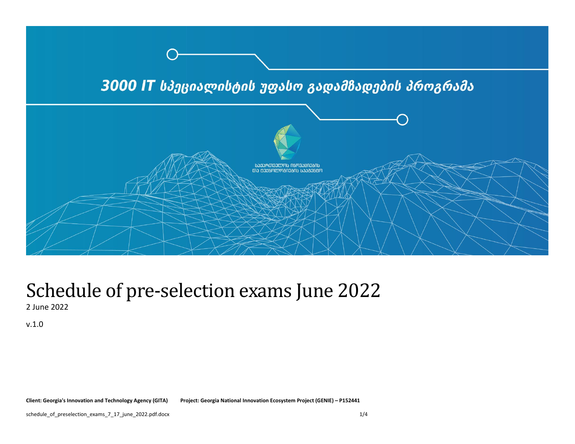

## Schedule of pre-selection exams June 2022 2 June 2022

v.1.0

**Client: Georgia's Innovation and Technology Agency (GITA) Project: Georgia National Innovation Ecosystem Project (GENIE) – P152441**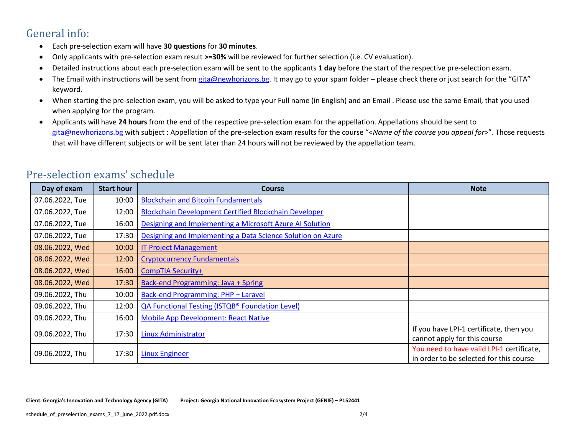## General info:

- Each pre-selection exam will have **30 questions** for **30 minutes**.
- Only applicants with pre-selection exam result **>=30%** will be reviewed for further selection (i.e. CV evaluation).
- Detailed instructions about each pre-selection exam will be sent to the applicants **1 day** before the start of the respective pre-selection exam.
- The Email with instructions will be sent from [gita@newhorizons.bg.](mailto:gita@newhorizons.bg) It may go to your spam folder please check there or just search for the "GITA" keyword.
- When starting the pre-selection exam, you will be asked to type your Full name (in English) and an Email . Please use the same Email, that you used when applying for the program.
- Applicants will have **24 hours** from the end of the respective pre-selection exam for the appellation. Appellations should be sent to [gita@newhorizons.bg](mailto:gita@newhorizons.bg) with subject : Appellation of the pre-selection exam results for the course "<*Name of the course you appeal for*>". Those requests that will have different subjects or will be sent later than 24 hours will not be reviewed by the appellation team.

| Day of exam     | <b>Start hour</b> | <b>Course</b>                                               | <b>Note</b>                                                                          |
|-----------------|-------------------|-------------------------------------------------------------|--------------------------------------------------------------------------------------|
| 07.06.2022, Tue | 10:00             | <b>Blockchain and Bitcoin Fundamentals</b>                  |                                                                                      |
| 07.06.2022, Tue | 12:00             | Blockchain Development Certified Blockchain Developer       |                                                                                      |
| 07.06.2022, Tue | 16:00             | Designing and Implementing a Microsoft Azure AI Solution    |                                                                                      |
| 07.06.2022, Tue | 17:30             | Designing and Implementing a Data Science Solution on Azure |                                                                                      |
| 08.06.2022, Wed | 10:00             | <b>IT Project Management</b>                                |                                                                                      |
| 08.06.2022, Wed | 12:00             | <b>Cryptocurrency Fundamentals</b>                          |                                                                                      |
| 08.06.2022, Wed | 16:00             | <b>CompTIA Security+</b>                                    |                                                                                      |
| 08.06.2022, Wed | 17:30             | Back-end Programming: Java + Spring                         |                                                                                      |
| 09.06.2022, Thu | 10:00             | <b>Back-end Programming: PHP + Laravel</b>                  |                                                                                      |
| 09.06.2022, Thu | 12:00             | <b>QA Functional Testing (ISTQB® Foundation Level)</b>      |                                                                                      |
| 09.06.2022, Thu | 16:00             | <b>Mobile App Development: React Native</b>                 |                                                                                      |
| 09.06.2022, Thu | 17:30             | Linux Administrator                                         | If you have LPI-1 certificate, then you<br>cannot apply for this course              |
| 09.06.2022, Thu | 17:30             | <b>Linux Engineer</b>                                       | You need to have valid LPI-1 certificate,<br>in order to be selected for this course |

## Pre-selection exams' schedule

**Client: Georgia's Innovation and Technology Agency (GITA) Project: Georgia National Innovation Ecosystem Project (GENIE) – P152441**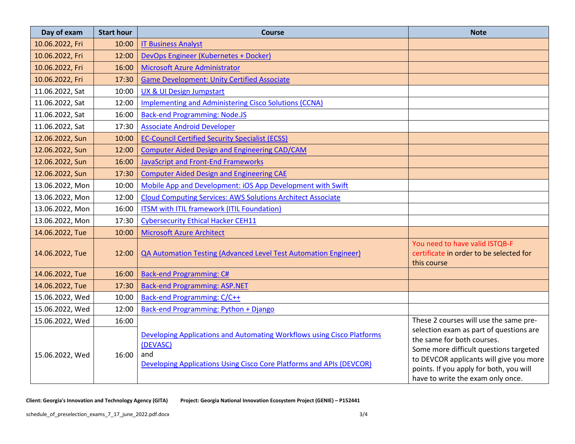| Day of exam     | <b>Start hour</b> | Course                                                                                                                                                            | <b>Note</b>                                                                                                                                                                                                                                |
|-----------------|-------------------|-------------------------------------------------------------------------------------------------------------------------------------------------------------------|--------------------------------------------------------------------------------------------------------------------------------------------------------------------------------------------------------------------------------------------|
| 10.06.2022, Fri | 10:00             | <b>IT Business Analyst</b>                                                                                                                                        |                                                                                                                                                                                                                                            |
| 10.06.2022, Fri | 12:00             | DevOps Engineer (Kubernetes + Docker)                                                                                                                             |                                                                                                                                                                                                                                            |
| 10.06.2022, Fri | 16:00             | <b>Microsoft Azure Administrator</b>                                                                                                                              |                                                                                                                                                                                                                                            |
| 10.06.2022, Fri | 17:30             | <b>Game Development: Unity Certified Associate</b>                                                                                                                |                                                                                                                                                                                                                                            |
| 11.06.2022, Sat | 10:00             | <b>UX &amp; UI Design Jumpstart</b>                                                                                                                               |                                                                                                                                                                                                                                            |
| 11.06.2022, Sat | 12:00             | <b>Implementing and Administering Cisco Solutions (CCNA)</b>                                                                                                      |                                                                                                                                                                                                                                            |
| 11.06.2022, Sat | 16:00             | <b>Back-end Programming: Node.JS</b>                                                                                                                              |                                                                                                                                                                                                                                            |
| 11.06.2022, Sat | 17:30             | <b>Associate Android Developer</b>                                                                                                                                |                                                                                                                                                                                                                                            |
| 12.06.2022, Sun | 10:00             | <b>EC-Council Certified Security Specialist (ECSS)</b>                                                                                                            |                                                                                                                                                                                                                                            |
| 12.06.2022, Sun | 12:00             | <b>Computer Aided Design and Engineering CAD/CAM</b>                                                                                                              |                                                                                                                                                                                                                                            |
| 12.06.2022, Sun | 16:00             | <b>JavaScript and Front-End Frameworks</b>                                                                                                                        |                                                                                                                                                                                                                                            |
| 12.06.2022, Sun | 17:30             | <b>Computer Aided Design and Engineering CAE</b>                                                                                                                  |                                                                                                                                                                                                                                            |
| 13.06.2022, Mon | 10:00             | Mobile App and Development: iOS App Development with Swift                                                                                                        |                                                                                                                                                                                                                                            |
| 13.06.2022, Mon | 12:00             | <b>Cloud Computing Services: AWS Solutions Architect Associate</b>                                                                                                |                                                                                                                                                                                                                                            |
| 13.06.2022, Mon | 16:00             | <b>ITSM with ITIL framework (ITIL Foundation)</b>                                                                                                                 |                                                                                                                                                                                                                                            |
| 13.06.2022, Mon | 17:30             | <b>Cybersecurity Ethical Hacker CEH11</b>                                                                                                                         |                                                                                                                                                                                                                                            |
| 14.06.2022, Tue | 10:00             | <b>Microsoft Azure Architect</b>                                                                                                                                  |                                                                                                                                                                                                                                            |
| 14.06.2022, Tue | 12:00             | <b>QA Automation Testing (Advanced Level Test Automation Engineer)</b>                                                                                            | You need to have valid ISTQB-F<br>certificate in order to be selected for<br>this course                                                                                                                                                   |
| 14.06.2022, Tue | 16:00             | <b>Back-end Programming: C#</b>                                                                                                                                   |                                                                                                                                                                                                                                            |
| 14.06.2022, Tue | 17:30             | <b>Back-end Programming: ASP.NET</b>                                                                                                                              |                                                                                                                                                                                                                                            |
| 15.06.2022, Wed | 10:00             | Back-end Programming: C/C++                                                                                                                                       |                                                                                                                                                                                                                                            |
| 15.06.2022, Wed | 12:00             | Back-end Programming: Python + Django                                                                                                                             |                                                                                                                                                                                                                                            |
| 15.06.2022, Wed | 16:00             |                                                                                                                                                                   | These 2 courses will use the same pre-                                                                                                                                                                                                     |
| 15.06.2022, Wed | 16:00             | Developing Applications and Automating Workflows using Cisco Platforms<br>(DEVASC)<br>and<br>Developing Applications Using Cisco Core Platforms and APIs (DEVCOR) | selection exam as part of questions are<br>the same for both courses.<br>Some more difficult questions targeted<br>to DEVCOR applicants will give you more<br>points. If you apply for both, you will<br>have to write the exam only once. |

**Client: Georgia's Innovation and Technology Agency (GITA) Project: Georgia National Innovation Ecosystem Project (GENIE) – P152441**